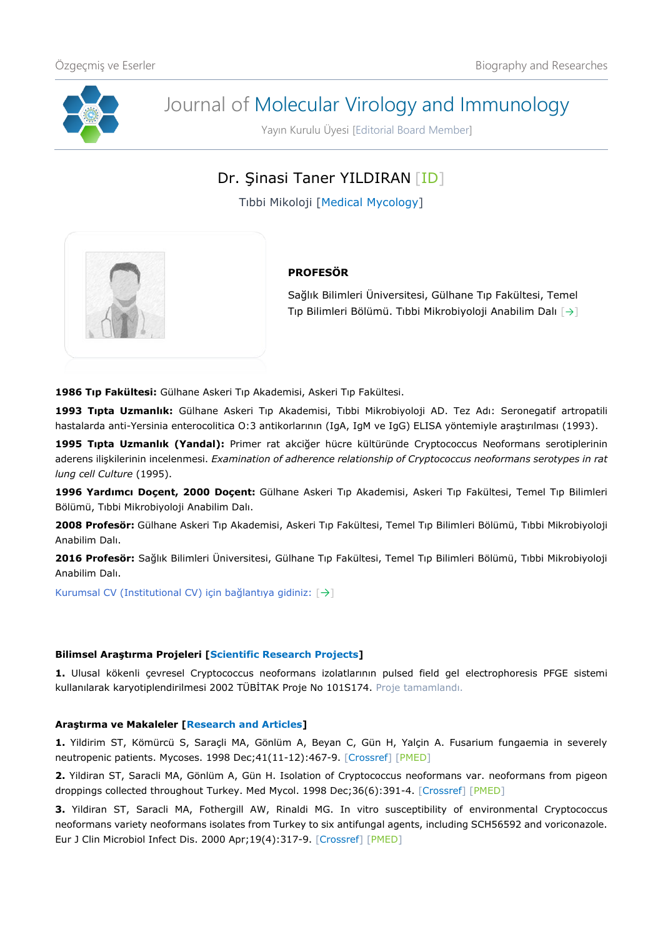

# Journal of Molecular Virology and Immunology

Yayın Kurulu Üyesi [Editorial Board Member]

Dr. Şinasi Taner YILDIRAN [\[ID\]](https://orcid.org/0000-0003-3897-4401)

Tıbbi Mikoloji [Medical Mycology]



# **PROFESÖR**

Sağlık Bilimleri Üniversitesi, Gülhane Tıp Fakültesi, Temel Tıp Bilimleri Bölümü. Tıbbi Mikrobiyoloji Anabilim Dalı [[→](http://gulhanetip.sbu.edu.tr/Akademik/TibbiMikrobiyolojiAnabilimDali)]

**1986 Tıp Fakültesi:** Gülhane Askeri Tıp Akademisi, Askeri Tıp Fakültesi.

**1993 Tıpta Uzmanlık:** Gülhane Askeri Tıp Akademisi, Tıbbi Mikrobiyoloji AD. Tez Adı: Seronegatif artropatili hastalarda anti-Yersinia enterocolitica O:3 antikorlarının (IgA, IgM ve IgG) ELISA yöntemiyle araştırılması (1993).

**1995 Tıpta Uzmanlık (Yandal):** Primer rat akciğer hücre kültüründe Cryptococcus Neoformans serotiplerinin aderens ilişkilerinin incelenmesi. *Examination of adherence relationship of Cryptococcus neoformans serotypes in rat lung cell Culture* (1995).

**1996 Yardımcı Doçent, 2000 Doçent:** Gülhane Askeri Tıp Akademisi, Askeri Tıp Fakültesi, Temel Tıp Bilimleri Bölümü, Tıbbi Mikrobiyoloji Anabilim Dalı.

**2008 Profesör:** Gülhane Askeri Tıp Akademisi, Askeri Tıp Fakültesi, Temel Tıp Bilimleri Bölümü, Tıbbi Mikrobiyoloji Anabilim Dalı.

**2016 Profesör:** Sağlık Bilimleri Üniversitesi, Gülhane Tıp Fakültesi, Temel Tıp Bilimleri Bölümü, Tıbbi Mikrobiyoloji Anabilim Dalı.

Kurumsal CV (Institutional CV) için bağlantıya gidiniz: [[→](http://dosya.sbu.edu.tr/CV/SINASITANERYILDIRAN_4144.pdf)]

## **Bilimsel Araştırma Projeleri [Scientific Research Projects]**

**1.** Ulusal kökenli çevresel Cryptococcus neoformans izolatlarının pulsed field gel electrophoresis PFGE sistemi kullanılarak karyotiplendirilmesi 2002 TÜBİTAK Proje No 101S174. Proje tamamlandı.

## **Araştırma ve Makaleler [Research and Articles]**

**1.** Yildirim ST, Kömürcü S, Saraçli MA, Gönlüm A, Beyan C, Gün H, Yalçin A. Fusarium fungaemia in severely neutropenic patients. Mycoses. 1998 Dec; 41(11-12): 467-9. [\[Crossref\]](https://doi.org/10.1111/j.1439-0507.1998.tb00707.x) [\[PMED\]](https://pubmed.ncbi.nlm.nih.gov/9919888/)

**2.** Yildiran ST, Saracli MA, Gönlüm A, Gün H. Isolation of Cryptococcus neoformans var. neoformans from pigeon droppings collected throughout Turkey. Med Mycol. 1998 Dec;36(6):391-4. [\[Crossref\]](https://doi.org/10.1080/02681219880000621) [\[PMED\]](https://pubmed.ncbi.nlm.nih.gov/10206749/)

**3.** Yildiran ST, Saracli MA, Fothergill AW, Rinaldi MG. In vitro susceptibility of environmental Cryptococcus neoformans variety neoformans isolates from Turkey to six antifungal agents, including SCH56592 and voriconazole. Eur J Clin Microbiol Infect Dis. 2000 Apr;19(4):317-9. [\[Crossref\]](https://doi.org/10.1007/s100960050484) [\[PMED\]](https://pubmed.ncbi.nlm.nih.gov/10834825/)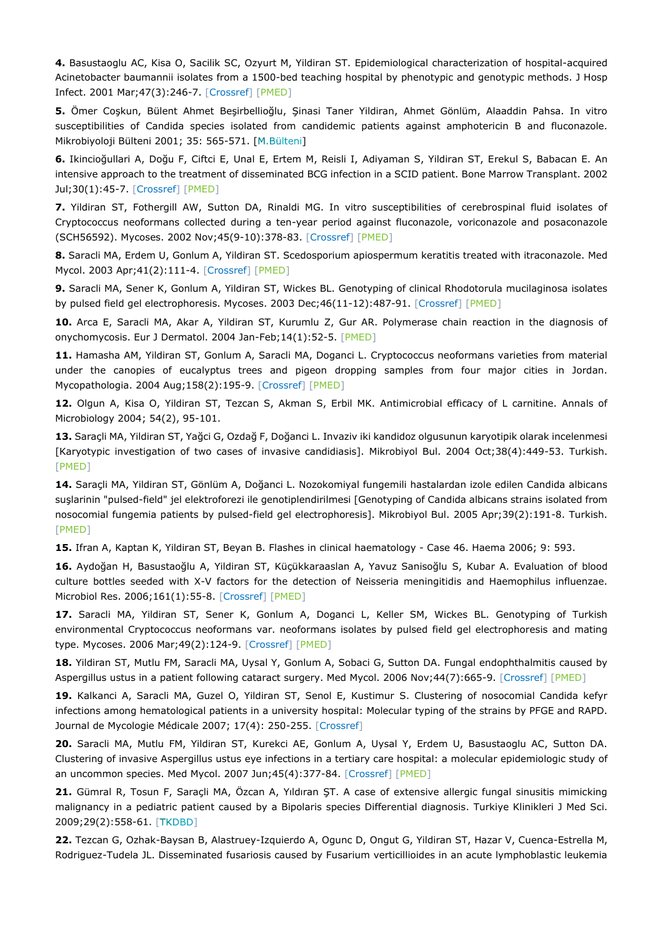**4.** Basustaoglu AC, Kisa O, Sacilik SC, Ozyurt M, Yildiran ST. Epidemiological characterization of hospital-acquired Acinetobacter baumannii isolates from a 1500-bed teaching hospital by phenotypic and genotypic methods. J Hosp Infect. 2001 Mar;47(3):246-7. [\[Crossref\]](https://doi.org/10.1053/jhin.2000.0867) [\[PMED\]](https://pubmed.ncbi.nlm.nih.gov/11247688/)

**5.** Ömer Coşkun, Bülent Ahmet Beşirbellioğlu, Şinasi Taner Yildiran, Ahmet Gönlüm, Alaaddin Pahsa. In vitro susceptibilities of Candida species isolated from candidemic patients against amphotericin B and fluconazole. Mikrobiyoloji Bülteni 2001; 35: 565-571. [M.Bülteni[\]](http://www.mikrobiyolbul.org/managete/fu_folder/2001-04/2001-35-04-565-571.pdf)

**6.** Ikincioğullari A, Doğu F, Ciftci E, Unal E, Ertem M, Reisli I, Adiyaman S, Yildiran ST, Erekul S, Babacan E. An intensive approach to the treatment of disseminated BCG infection in a SCID patient. Bone Marrow Transplant. 2002 Jul;30(1):45-7. [\[Crossref\]](https://doi.org/10.1038/sj.bmt.1703578) [\[PMED\]](https://pubmed.ncbi.nlm.nih.gov/12105777/)

**7.** Yildiran ST, Fothergill AW, Sutton DA, Rinaldi MG. In vitro susceptibilities of cerebrospinal fluid isolates of Cryptococcus neoformans collected during a ten-year period against fluconazole, voriconazole and posaconazole (SCH56592). Mycoses. 2002 Nov;45(9-10):378-83. [\[Crossref\]](https://doi.org/10.1046/j.1439-0507.2002.00765.x) [\[PMED\]](https://pubmed.ncbi.nlm.nih.gov/12421285/)

**8.** Saracli MA, Erdem U, Gonlum A, Yildiran ST. Scedosporium apiospermum keratitis treated with itraconazole. Med Mycol. 2003 Apr;41(2):111-4. [\[Crossref\]](https://doi.org/10.1080/mmy.41.2.111.114) [\[PMED\]](https://pubmed.ncbi.nlm.nih.gov/12964842/)

**9.** Saracli MA, Sener K, Gonlum A, Yildiran ST, Wickes BL. Genotyping of clinical Rhodotorula mucilaginosa isolates by pulsed field gel electrophoresis. Mycoses. 2003 Dec;46(11-12):487-91. [\[Crossref\]](https://doi.org/10.1046/j.0933-7407.2003.00925.x) [\[PMED\]](https://pubmed.ncbi.nlm.nih.gov/14641622/)

**10.** Arca E, Saracli MA, Akar A, Yildiran ST, Kurumlu Z, Gur AR. Polymerase chain reaction in the diagnosis of onychomycosis. Eur J Dermatol. 2004 Jan-Feb;14(1):52-5. [\[PMED\]](https://pubmed.ncbi.nlm.nih.gov/14965797/)

**11.** Hamasha AM, Yildiran ST, Gonlum A, Saracli MA, Doganci L. Cryptococcus neoformans varieties from material under the canopies of eucalyptus trees and pigeon dropping samples from four major cities in Jordan. Mycopathologia. 2004 Aug;158(2):195-9. [\[Crossref\]](https://doi.org/10.1023/b:myco.0000041840.34011.23) [\[PMED\]](https://pubmed.ncbi.nlm.nih.gov/15518348/)

**12.** Olgun A, Kisa O, Yildiran ST, Tezcan S, Akman S, Erbil MK. Antimicrobial efficacy of L carnitine. Annals of Microbiology 2004; 54(2), 95-101.

**13.** Saraçli MA, Yildiran ST, Yağci G, Ozdağ F, Doğanci L. Invaziv iki kandidoz olgusunun karyotipik olarak incelenmesi [Karyotypic investigation of two cases of invasive candidiasis]. Mikrobiyol Bul. 2004 Oct;38(4):449-53. Turkish. [\[PMED\]](https://pubmed.ncbi.nlm.nih.gov/15700673/)

**14.** Saraçli MA, Yildiran ST, Gönlüm A, Doğanci L. Nozokomiyal fungemili hastalardan izole edilen Candida albicans suşlarinin "pulsed-field" jel elektroforezi ile genotiplendirilmesi [Genotyping of Candida albicans strains isolated from nosocomial fungemia patients by pulsed-field gel electrophoresis]. Mikrobiyol Bul. 2005 Apr;39(2):191-8. Turkish. [\[PMED\]](https://pubmed.ncbi.nlm.nih.gov/16128030/)

**15.** Ifran A, Kaptan K, Yildiran ST, Beyan B. Flashes in clinical haematology - Case 46. Haema 2006; 9: 593.

**16.** Aydoğan H, Basustaoğlu A, Yildiran ST, Küçükkaraaslan A, Yavuz Sanisoğlu S, Kubar A. Evaluation of blood culture bottles seeded with X-V factors for the detection of Neisseria meningitidis and Haemophilus influenzae. Microbiol Res. 2006;161(1):55-8. [\[Crossref\]](https://doi.org/10.1016/j.micres.2005.06.004) [\[PMED\]](https://pubmed.ncbi.nlm.nih.gov/16338591/)

**17.** Saracli MA, Yildiran ST, Sener K, Gonlum A, Doganci L, Keller SM, Wickes BL. Genotyping of Turkish environmental Cryptococcus neoformans var. neoformans isolates by pulsed field gel electrophoresis and mating type. Mycoses. 2006 Mar;49(2):124-9. [\[Crossref\]](https://doi.org/10.1111/j.1439-0507.2006.01203.x) [\[PMED\]](https://pubmed.ncbi.nlm.nih.gov/16466446/)

**18.** Yildiran ST, Mutlu FM, Saracli MA, Uysal Y, Gonlum A, Sobaci G, Sutton DA. Fungal endophthalmitis caused by Aspergillus ustus in a patient following cataract surgery. Med Mycol. 2006 Nov;44(7):665-9. [\[Crossref\]](https://doi.org/10.1080/13693780600717161) [\[PMED\]](https://pubmed.ncbi.nlm.nih.gov/17071563/)

**19.** Kalkanci A, Saracli MA, Guzel O, Yildiran ST, Senol E, Kustimur S. Clustering of nosocomial Candida kefyr infections among hematological patients in a university hospital: Molecular typing of the strains by PFGE and RAPD. Journal de Mycologie Médicale 2007; 17(4): 250-255. [\[Crossref\]](https://doi.org/10.1016/j.mycmed.2007.09.003)

**20.** Saracli MA, Mutlu FM, Yildiran ST, Kurekci AE, Gonlum A, Uysal Y, Erdem U, Basustaoglu AC, Sutton DA. Clustering of invasive Aspergillus ustus eye infections in a tertiary care hospital: a molecular epidemiologic study of an uncommon species. Med Mycol. 2007 Jun;45(4):377-84. [\[Crossref\]](https://doi.org/10.1080/13693780701313803) [\[PMED\]](https://pubmed.ncbi.nlm.nih.gov/17510862/)

**21.** Gümral R, Tosun F, Saraçli MA, Özcan A, Yıldıran ŞT. A case of extensive allergic fungal sinusitis mimicking malignancy in a pediatric patient caused by a Bipolaris species Differential diagnosis. Turkiye Klinikleri J Med Sci. 2009;29(2):558-61. [\[](https://www.turkiyeklinikleri.com/article/tr-a-case-of-extensive-allergic-fungal-sinusitis-mimicking-malignancy-in-a-pediatric-patient-caused-by-a-bipolaris-species-differential-diagnosis-54180.html)TKDBD]

**22.** Tezcan G, Ozhak-Baysan B, Alastruey-Izquierdo A, Ogunc D, Ongut G, Yildiran ST, Hazar V, Cuenca-Estrella M, Rodriguez-Tudela JL. Disseminated fusariosis caused by Fusarium verticillioides in an acute lymphoblastic leukemia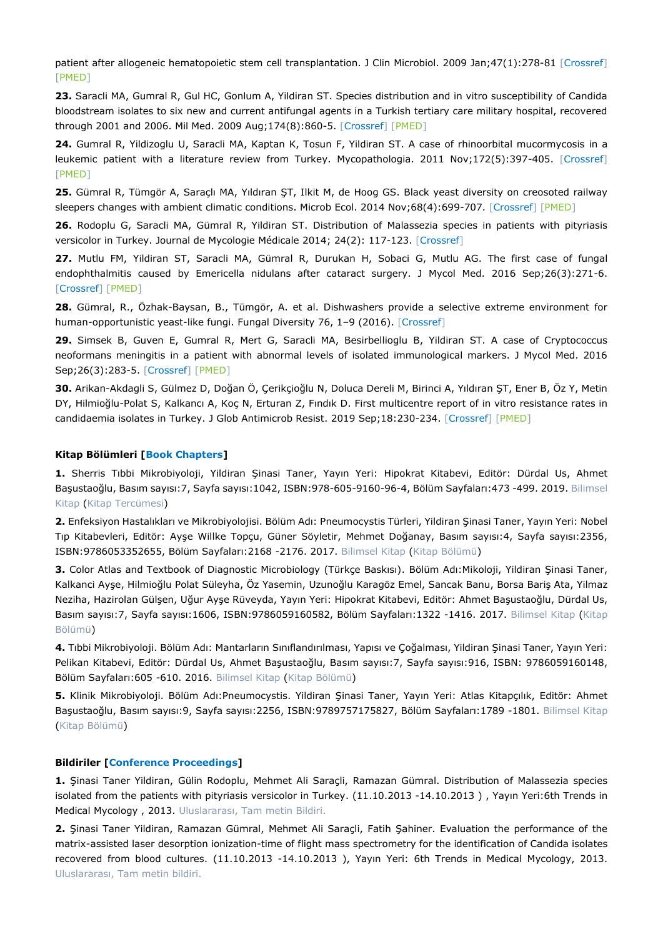patient after allogeneic hematopoietic stem cell transplantation. J Clin Microbiol. 2009 Jan;47(1):278-81 [\[Crossref\]](https://doi.org/10.1128/JCM.01670-08) [\[PMED\]](https://pubmed.ncbi.nlm.nih.gov/19005150/)

**23.** Saracli MA, Gumral R, Gul HC, Gonlum A, Yildiran ST. Species distribution and in vitro susceptibility of Candida bloodstream isolates to six new and current antifungal agents in a Turkish tertiary care military hospital, recovered through 2001 and 2006. Mil Med. 2009 Aug;174(8):860-5. [\[Crossref\]](https://doi.org/10.7205/milmed-d-04-7808) [\[PMED\]](https://pubmed.ncbi.nlm.nih.gov/19743744/)

**24.** Gumral R, Yildizoglu U, Saracli MA, Kaptan K, Tosun F, Yildiran ST. A case of rhinoorbital mucormycosis in a leukemic patient with a literature review from Turkey. Mycopathologia. 2011 Nov;172(5):397-405. [\[Crossref\]](https://doi.org/10.1007/s11046-011-9449-z) [\[PMED\]](https://pubmed.ncbi.nlm.nih.gov/21761152/)

**25.** Gümral R, Tümgör A, Saraçlı MA, Yıldıran ŞT, Ilkit M, de Hoog GS. Black yeast diversity on creosoted railway sleepers changes with ambient climatic conditions. Microb Ecol. 2014 Nov;68(4):699-707. [\[Crossref\]](https://doi.org/10.1007/s00248-014-0459-5) [\[PMED\]](https://pubmed.ncbi.nlm.nih.gov/25027275/)

**26.** Rodoplu G, Saracli MA, Gümral R, Yildiran ST. Distribution of Malassezia species in patients with pityriasis versicolor in Turkey. Journal de Mycologie Médicale 2014; 24(2): 117-123. [\[Crossref\]](https://doi.org/10.1016/j.mycmed.2014.02.001)

**27.** Mutlu FM, Yildiran ST, Saracli MA, Gümral R, Durukan H, Sobaci G, Mutlu AG. The first case of fungal endophthalmitis caused by Emericella nidulans after cataract surgery. J Mycol Med. 2016 Sep;26(3):271-6. [\[Crossref\]](https://doi.org/10.1016/j.mycmed.2015.12.010) [\[PMED\]](https://pubmed.ncbi.nlm.nih.gov/27091580/)

**28.** Gümral, R., Özhak-Baysan, B., Tümgör, A. et al. Dishwashers provide a selective extreme environment for human-opportunistic yeast-like fungi. Fungal Diversity 76, 1-9 (2016). [\[Crossref\]](https://doi.org/10.1007/s13225-015-0327-8)

**29.** Simsek B, Guven E, Gumral R, Mert G, Saracli MA, Besirbellioglu B, Yildiran ST. A case of Cryptococcus neoformans meningitis in a patient with abnormal levels of isolated immunological markers. J Mycol Med. 2016 Sep;26(3):283-5. [\[Crossref\]](https://doi.org/10.1016/j.mycmed.2016.05.003) [\[PMED\]](https://pubmed.ncbi.nlm.nih.gov/27402508/)

**30.** Arikan-Akdagli S, Gülmez D, Doğan Ö, Çerikçioğlu N, Doluca Dereli M, Birinci A, Yıldıran ŞT, Ener B, Öz Y, Metin DY, Hilmioğlu-Polat S, Kalkancı A, Koç N, Erturan Z, Fındık D. First multicentre report of in vitro resistance rates in candidaemia isolates in Turkey. J Glob Antimicrob Resist. 2019 Sep;18:230-234. [\[Crossref\]](https://doi.org/10.1016/j.jgar.2019.04.003) [\[PMED\]](https://pubmed.ncbi.nlm.nih.gov/30980958/)

#### **Kitap Bölümleri [Book Chapters]**

**1.** Sherris Tıbbi Mikrobiyoloji, Yildiran Şinasi Taner, Yayın Yeri: Hipokrat Kitabevi, Editör: Dürdal Us, Ahmet Başustaoğlu, Basım sayısı:7, Sayfa sayısı:1042, ISBN:978-605-9160-96-4, Bölüm Sayfaları:473 -499. 2019. Bilimsel Kitap (Kitap Tercümesi)

**2.** Enfeksiyon Hastalıkları ve Mikrobiyolojisi. Bölüm Adı: Pneumocystis Türleri, Yildiran Şinasi Taner, Yayın Yeri: Nobel Tıp Kitabevleri, Editör: Ayşe Willke Topçu, Güner Söyletir, Mehmet Doğanay, Basım sayısı:4, Sayfa sayısı:2356, ISBN:9786053352655, Bölüm Sayfaları:2168 -2176. 2017. Bilimsel Kitap (Kitap Bölümü)

**3.** Color Atlas and Textbook of Diagnostic Microbiology (Türkçe Baskısı). Bölüm Adı:Mikoloji, Yildiran Şinasi Taner, Kalkanci Ayşe, Hilmioğlu Polat Süleyha, Öz Yasemin, Uzunoğlu Karagöz Emel, Sancak Banu, Borsa Bariş Ata, Yilmaz Neziha, Hazirolan Gülşen, Uğur Ayşe Rüveyda, Yayın Yeri: Hipokrat Kitabevi, Editör: Ahmet Başustaoğlu, Dürdal Us, Basım sayısı:7, Sayfa sayısı:1606, ISBN:9786059160582, Bölüm Sayfaları:1322 -1416. 2017. Bilimsel Kitap (Kitap Bölümü)

**4.** Tıbbi Mikrobiyoloji. Bölüm Adı: Mantarların Sınıflandırılması, Yapısı ve Çoğalması, Yildiran Şinasi Taner, Yayın Yeri: Pelikan Kitabevi, Editör: Dürdal Us, Ahmet Başustaoğlu, Basım sayısı:7, Sayfa sayısı:916, ISBN: 9786059160148, Bölüm Savfaları: 605 - 610, 2016, Bilimsel Kitap (Kitap Bölümü)

**5.** Klinik Mikrobiyoloji. Bölüm Adı:Pneumocystis. Yildiran Şinasi Taner, Yayın Yeri: Atlas Kitapçılık, Editör: Ahmet Başustaoğlu, Basım sayısı:9, Sayfa sayısı:2256, ISBN:9789757175827, Bölüm Sayfaları:1789 -1801. Bilimsel Kitap (Kitap Bölümü)

#### **Bildiriler [Conference Proceedings]**

**1.** Şinasi Taner Yildiran, Gülin Rodoplu, Mehmet Ali Saraçli, Ramazan Gümral. Distribution of Malassezia species isolated from the patients with pityriasis versicolor in Turkey. (11.10.2013 -14.10.2013 ) , Yayın Yeri:6th Trends in Medical Mycology , 2013. Uluslararası, Tam metin Bildiri.

**2.** Şinasi Taner Yildiran, Ramazan Gümral, Mehmet Ali Saraçli, Fatih Şahiner. Evaluation the performance of the matrix-assisted laser desorption ionization-time of flight mass spectrometry for the identification of Candida isolates recovered from blood cultures. (11.10.2013 -14.10.2013 ), Yayın Yeri: 6th Trends in Medical Mycology, 2013. Uluslararası, Tam metin bildiri.